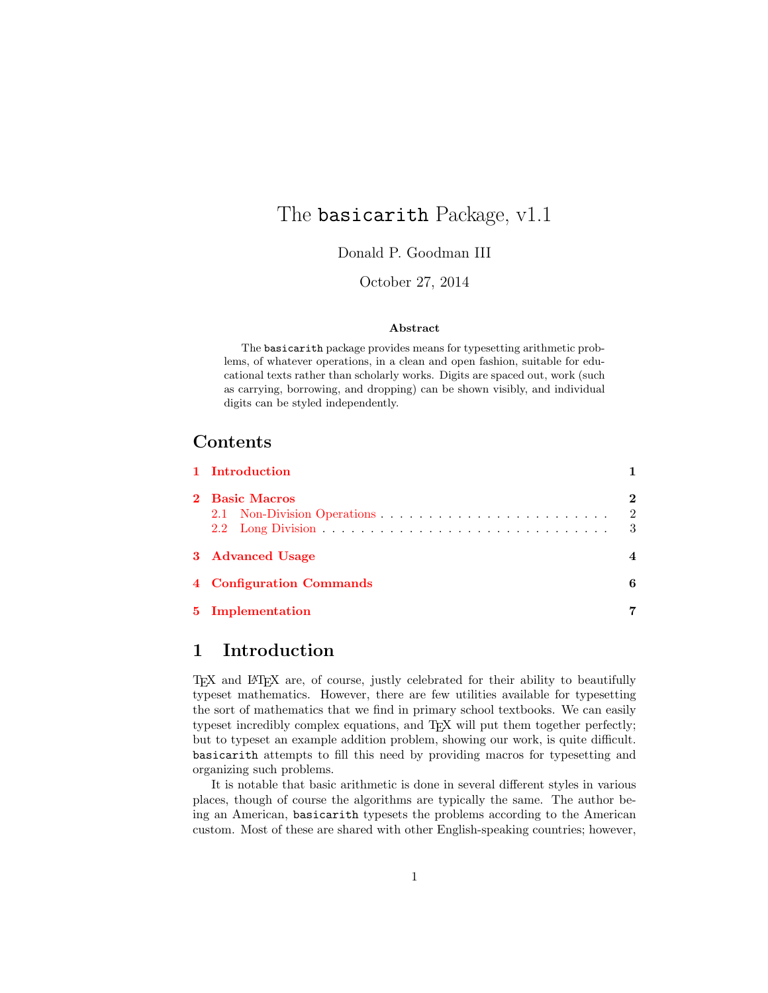# The **basicarith** Package, v1.1

Donald P. Goodman III

October 27, 2014

### Abstract

The basicarith package provides means for typesetting arithmetic problems, of whatever operations, in a clean and open fashion, suitable for educational texts rather than scholarly works. Digits are spaced out, work (such as carrying, borrowing, and dropping) can be shown visibly, and individual digits can be styled independently.

# Contents

| 1 Introduction           |                                  |
|--------------------------|----------------------------------|
| 2 Basic Macros           | $\bf{2}$<br>$\overline{2}$<br>-3 |
| 3 Advanced Usage         |                                  |
| 4 Configuration Commands | 6                                |
| 5 Implementation         |                                  |

# <span id="page-0-0"></span>1 Introduction

TEX and LATEX are, of course, justly celebrated for their ability to beautifully typeset mathematics. However, there are few utilities available for typesetting the sort of mathematics that we find in primary school textbooks. We can easily typeset incredibly complex equations, and TEX will put them together perfectly; but to typeset an example addition problem, showing our work, is quite difficult. basicarith attempts to fill this need by providing macros for typesetting and organizing such problems.

It is notable that basic arithmetic is done in several different styles in various places, though of course the algorithms are typically the same. The author being an American, basicarith typesets the problems according to the American custom. Most of these are shared with other English-speaking countries; however,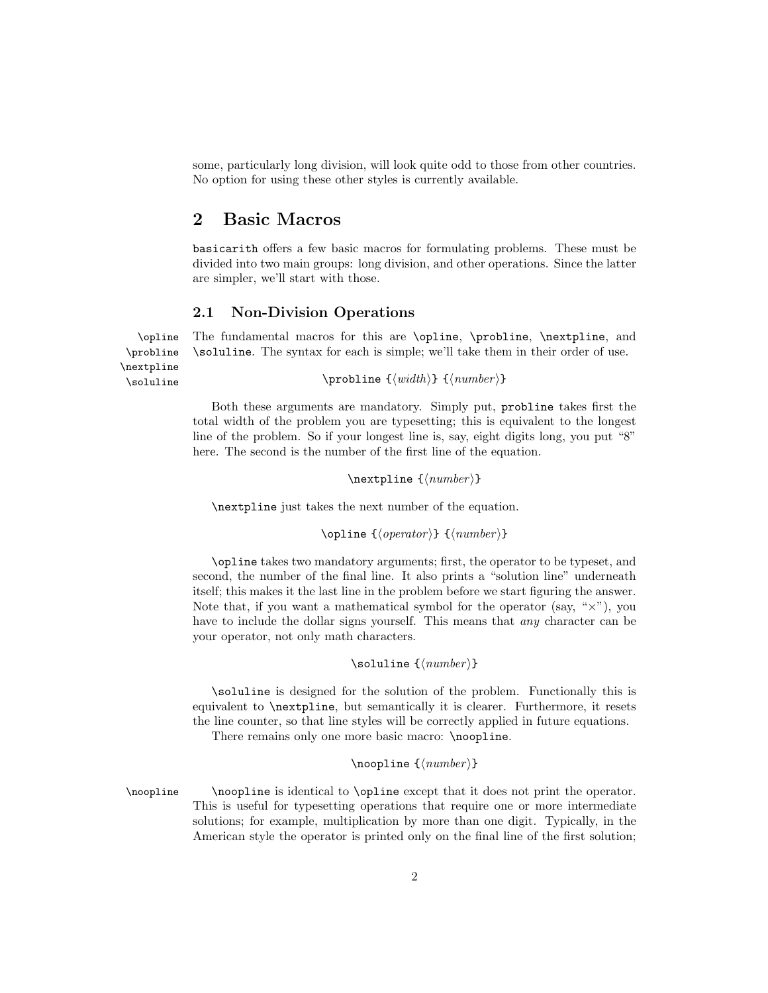some, particularly long division, will look quite odd to those from other countries. No option for using these other styles is currently available.

## <span id="page-1-0"></span>2 Basic Macros

basicarith offers a few basic macros for formulating problems. These must be divided into two main groups: long division, and other operations. Since the latter are simpler, we'll start with those.

### <span id="page-1-1"></span>2.1 Non-Division Operations

\probline \nextpline

\opline The fundamental macros for this are \opline, \probline, \nextpline, and \soluline. The syntax for each is simple; we'll take them in their order of use.

\soluline  $\text{}\{\text{width}\} {\{number\}}$ 

Both these arguments are mandatory. Simply put, probline takes first the total width of the problem you are typesetting; this is equivalent to the longest line of the problem. So if your longest line is, say, eight digits long, you put "8" here. The second is the number of the first line of the equation.

 $\text{linear}$  { $\langle number \rangle$ }

\nextpline just takes the next number of the equation.

\opline { $\langle operator \rangle$ } { $\langle number \rangle$ }

\opline takes two mandatory arguments; first, the operator to be typeset, and second, the number of the final line. It also prints a "solution line" underneath itself; this makes it the last line in the problem before we start figuring the answer. Note that, if you want a mathematical symbol for the operator (say, " $\times$ "), you have to include the dollar signs yourself. This means that *any* character can be your operator, not only math characters.

### $\solimits$  \soluline  $\{\langle number \rangle\}$

\soluline is designed for the solution of the problem. Functionally this is equivalent to \nextpline, but semantically it is clearer. Furthermore, it resets the line counter, so that line styles will be correctly applied in future equations.

There remains only one more basic macro: \noopline.

### $\in$ { $\{number\}$ }

\noopline \noopline is identical to \opline except that it does not print the operator. This is useful for typesetting operations that require one or more intermediate solutions; for example, multiplication by more than one digit. Typically, in the American style the operator is printed only on the final line of the first solution;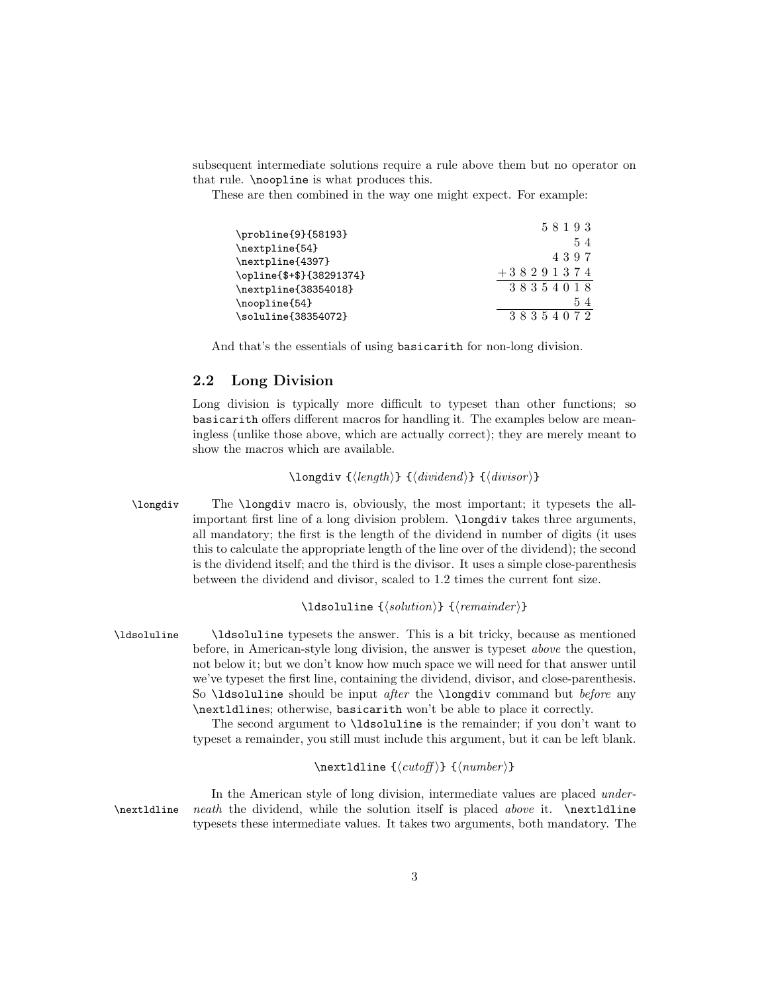subsequent intermediate solutions require a rule above them but no operator on that rule. \noopline is what produces this.

These are then combined in the way one might expect. For example:

| \probline{9}{58193}      | 58193       |
|--------------------------|-------------|
| \nextpline{54}           | 54          |
| \nextpline{4397}         | 4397        |
| \opline{\$+\$}{38291374} | $+38291374$ |
| \nextpline{38354018}     | 38354018    |
| \noopline{54}            | 54          |
| \soluline{38354072}      | 38354072    |

And that's the essentials of using basicarith for non-long division.

### <span id="page-2-0"></span>2.2 Long Division

Long division is typically more difficult to typeset than other functions; so basicarith offers different macros for handling it. The examples below are meaningless (unlike those above, which are actually correct); they are merely meant to show the macros which are available.

### $\langle \text{length} \rangle \}$  { $\langle \text{dividend} \rangle$ } { $\langle \text{divisor} \rangle$ }

\longdiv The \longdiv macro is, obviously, the most important; it typesets the allimportant first line of a long division problem. \longdiv takes three arguments, all mandatory; the first is the length of the dividend in number of digits (it uses this to calculate the appropriate length of the line over of the dividend); the second is the dividend itself; and the third is the divisor. It uses a simple close-parenthesis between the dividend and divisor, scaled to 1.2 times the current font size.

#### \ldsoluline  ${\langle solution \rangle} {\langle remainder \rangle}$

\ldsoluline \ldsoluline typesets the answer. This is a bit tricky, because as mentioned before, in American-style long division, the answer is typeset above the question, not below it; but we don't know how much space we will need for that answer until we've typeset the first line, containing the dividend, divisor, and close-parenthesis. So  $\ldots$  should be input *after* the  $\land$  longdiv command but *before* any \nextldlines; otherwise, basicarith won't be able to place it correctly.

> The second argument to \ldsoluline is the remainder; if you don't want to typeset a remainder, you still must include this argument, but it can be left blank.

### $\text{Identity} {\langle \text{number} \rangle}$

In the American style of long division, intermediate values are placed under- \nextldline neath the dividend, while the solution itself is placed above it. \nextldline typesets these intermediate values. It takes two arguments, both mandatory. The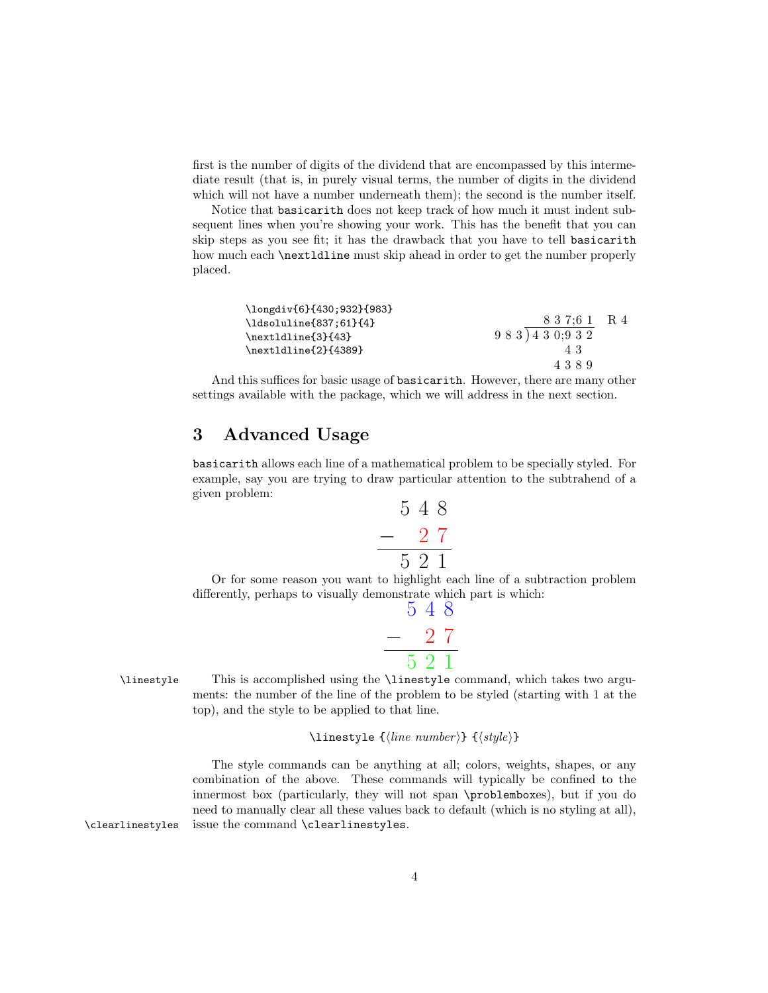first is the number of digits of the dividend that are encompassed by this intermediate result (that is, in purely visual terms, the number of digits in the dividend which will not have a number underneath them); the second is the number itself.

Notice that basicarith does not keep track of how much it must indent subsequent lines when you're showing your work. This has the benefit that you can skip steps as you see fit; it has the drawback that you have to tell basicarith how much each \nextldline must skip ahead in order to get the number properly placed.

| 43   |                            |
|------|----------------------------|
| 4389 |                            |
|      | 837:61 R 4<br>983) 430;932 |

And this suffices for basic usage of basicarith. However, there are many other settings available with the package, which we will address in the next section.

# <span id="page-3-0"></span>3 Advanced Usage

basicarith allows each line of a mathematical problem to be specially styled. For example, say you are trying to draw particular attention to the subtrahend of a given problem:

$$
\begin{array}{r} 5 \ 4 \ 8 \\ - \ 2 \ 7 \\ \hline 5 \ 2 \ 1 \end{array}
$$

Or for some reason you want to highlight each line of a subtraction problem differently, perhaps to visually demonstrate which part is which:

$$
\begin{array}{@{}c@{\hspace{1em}}c@{\hspace{1em}}c}\n & 5 & 4 & 8 \\
 - & 2 & 7 \\
 \hline\n & 5 & 2 & 1\n \end{array}
$$

\linestyle This is accomplished using the \linestyle command, which takes two arguments: the number of the line of the problem to be styled (starting with 1 at the top), and the style to be applied to that line.

\linestyle { $\langle line \ number \rangle$ } { $\langle style \rangle$ }

The style commands can be anything at all; colors, weights, shapes, or any combination of the above. These commands will typically be confined to the innermost box (particularly, they will not span \problemboxes), but if you do need to manually clear all these values back to default (which is no styling at all), \clearlinestyles issue the command \clearlinestyles.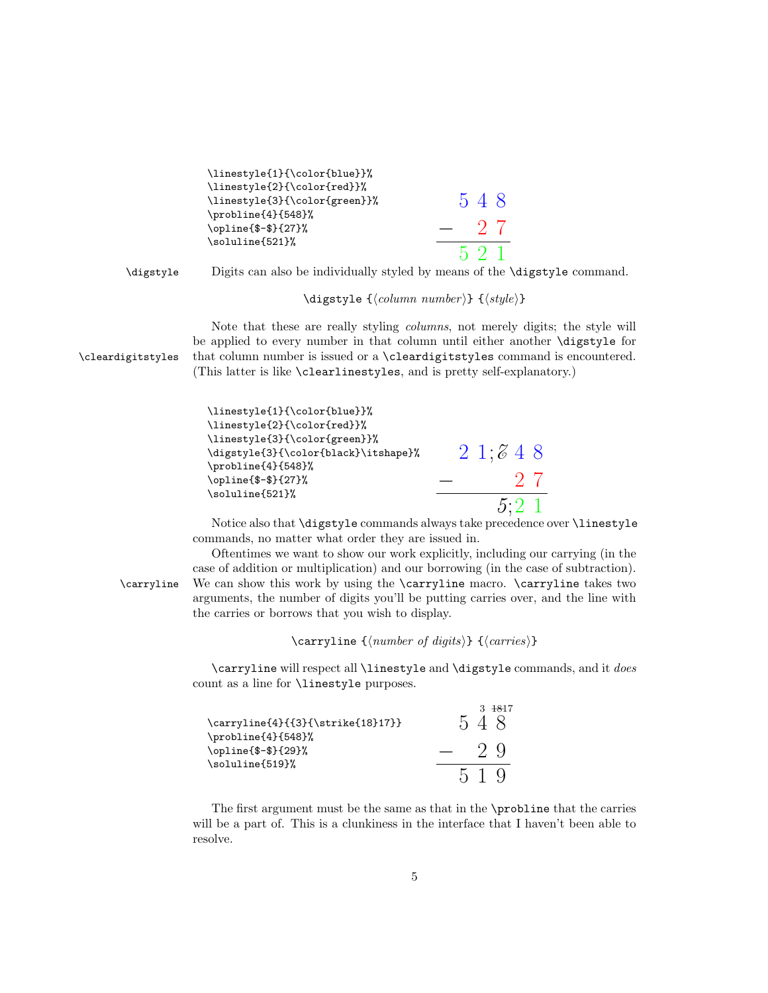```
\linestyle{1}{\color{blue}}%
                       \linestyle{2}{\color{red}}%
                       \linestyle{3}{\color{green}}%
                       \probline{4}{548}%
                       \opline{$-$}{27}%
                       \soluline{521}%
                                                                    5 4 8
                                                                 − 2 7
                                                                     5 2 1
        \digstyle Digits can also be individually styled by means of the \digstyle command.
                                        \displaystyle \{logstyle \ {\langle column\ number \rangle \} \ {\langle style \rangle \} }Note that these are really styling columns, not merely digits; the style will
                    be applied to every number in that column until either another \digstyle for
\cleardigitstyles that column number is issued or a \cleardigitstyles command is encountered.
                    (This latter is like \clearlinestyles, and is pretty self-explanatory.)
                       \linestyle{1}{\color{blue}}%
                       \linestyle{2}{\color{red}}%
                       \linestyle{3}{\color{green}}%
                       \digstyle{3}{\color{black}\itshape}%
                       \probline{4}{548}%
                       \opline{$-$}{27}%
                       \soluline{521}%
                                                                   2\;1;8\;4\;8− 2 7
                                                                            5;2 1
                        Notice also that \digstyle commands always take precedence over \linestyle
                    commands, no matter what order they are issued in.
                        Oftentimes we want to show our work explicitly, including our carrying (in the
                    case of addition or multiplication) and our borrowing (in the case of subtraction).
       \carryline We can show this work by using the \carryline macro. \carryline takes two
                    arguments, the number of digits you'll be putting carries over, and the line with
                    the carries or borrows that you wish to display.
                                      \carryline {\langle number \ of \ digits \rangle} {\langle carries \rangle}
```
\carryline will respect all \linestyle and \digstyle commands, and it does count as a line for \linestyle purposes.

| $\carryline{4}{3}{\strut}$ \carryline{4}{{3}{\strike{18}17}} | $3 + 817$<br>548 |
|--------------------------------------------------------------|------------------|
| \probline{4}{548}%<br>\opline{\$-\$}{29}%<br>\soluline{519}% | $-2.9$           |
|                                                              | 519              |

The first argument must be the same as that in the \probline that the carries will be a part of. This is a clunkiness in the interface that I haven't been able to resolve.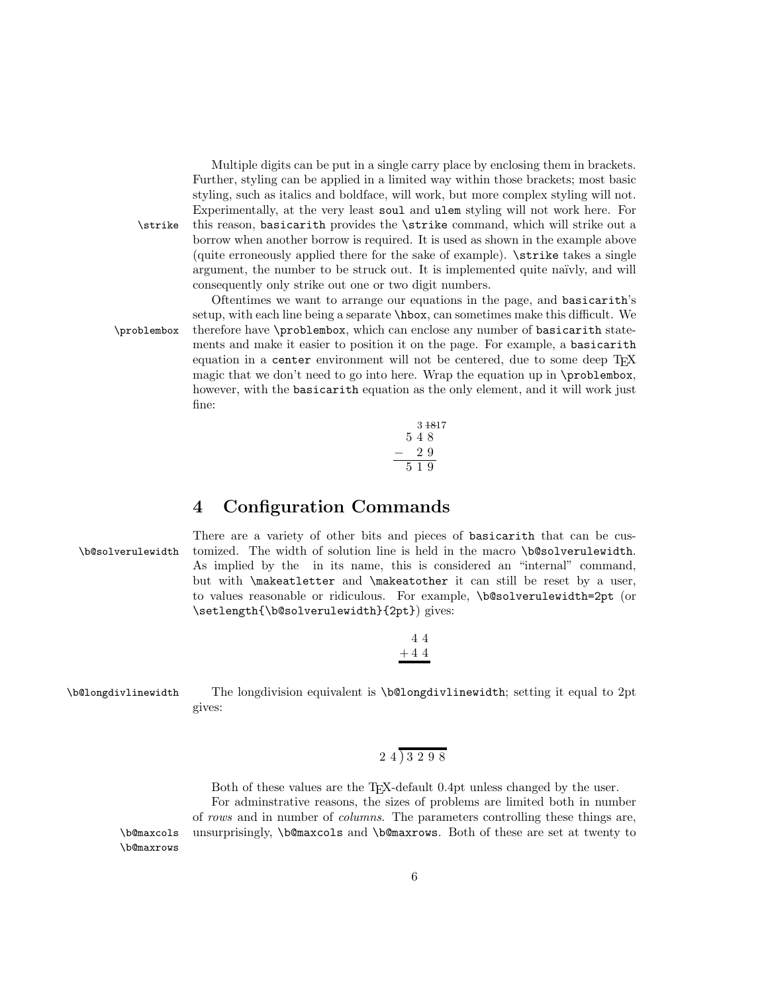Multiple digits can be put in a single carry place by enclosing them in brackets. Further, styling can be applied in a limited way within those brackets; most basic styling, such as italics and boldface, will work, but more complex styling will not. Experimentally, at the very least soul and ulem styling will not work here. For \strike this reason, basicarith provides the \strike command, which will strike out a borrow when another borrow is required. It is used as shown in the example above (quite erroneously applied there for the sake of example). \strike takes a single argument, the number to be struck out. It is implemented quite naïvly, and will consequently only strike out one or two digit numbers.

Oftentimes we want to arrange our equations in the page, and basicarith's setup, with each line being a separate \hbox, can sometimes make this difficult. We \problembox therefore have \problembox, which can enclose any number of basicarith statements and make it easier to position it on the page. For example, a basicarith equation in a center environment will not be centered, due to some deep T<sub>E</sub>X magic that we don't need to go into here. Wrap the equation up in \problembox, however, with the **basicarith** equation as the only element, and it will work just fine:



## <span id="page-5-0"></span>4 Configuration Commands

There are a variety of other bits and pieces of basicarith that can be cus- \b@solverulewidth tomized. The width of solution line is held in the macro \b@solverulewidth. As implied by the in its name, this is considered an "internal" command, but with \makeatletter and \makeatother it can still be reset by a user, to values reasonable or ridiculous. For example, \b@solverulewidth=2pt (or \setlength{\b@solverulewidth}{2pt}) gives:

> 4 4  $+44$

\b@longdivlinewidth The longdivision equivalent is \b@longdivlinewidth; setting it equal to 2pt gives:

# 2 4 ) 3 2 9 8

Both of these values are the T<sub>EX</sub>-default 0.4pt unless changed by the user. For adminstrative reasons, the sizes of problems are limited both in number of rows and in number of columns. The parameters controlling these things are, \b@maxcols unsurprisingly, \b@maxcols and \b@maxrows. Both of these are set at twenty to

\b@maxrows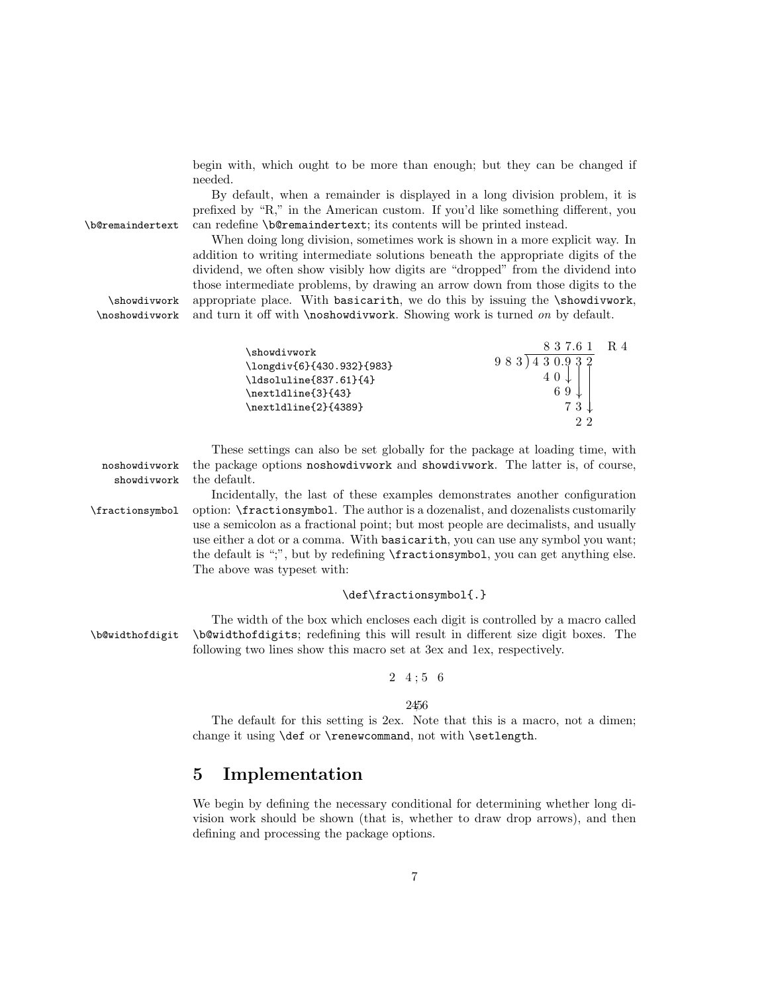begin with, which ought to be more than enough; but they can be changed if needed.

By default, when a remainder is displayed in a long division problem, it is prefixed by "R," in the American custom. If you'd like something different, you \b@remaindertext can redefine \b@remaindertext; its contents will be printed instead.

When doing long division, sometimes work is shown in a more explicit way. In addition to writing intermediate solutions beneath the appropriate digits of the dividend, we often show visibly how digits are "dropped" from the dividend into those intermediate problems, by drawing an arrow down from those digits to the \showdivwork appropriate place. With basicarith, we do this by issuing the \showdivwork, \noshowdivwork and turn it off with \noshowdivwork. Showing work is turned on by default.

| \showdivwork<br>\longdiv{6}{430.932}{983}<br>\ldsoluline{837.61}{4}<br>\nextldline{3}{43}<br>\nextldline{2}{4389} | 8 3 7 6 1<br>983) 430.932<br>69<br>73<br>っっ | R 4 |
|-------------------------------------------------------------------------------------------------------------------|---------------------------------------------|-----|
|                                                                                                                   |                                             |     |

These settings can also be set globally for the package at loading time, with noshowdivwork the package options noshowdivwork and showdivwork. The latter is, of course, showdivwork the default.

Incidentally, the last of these examples demonstrates another configuration \fractionsymbol option: \fractionsymbol. The author is a dozenalist, and dozenalists customarily use a semicolon as a fractional point; but most people are decimalists, and usually use either a dot or a comma. With basicarith, you can use any symbol you want; the default is ";", but by redefining \fractionsymbol, you can get anything else. The above was typeset with:

#### \def\fractionsymbol{.}

The width of the box which encloses each digit is controlled by a macro called \b@widthofdigit \b@widthofdigits; redefining this will result in different size digit boxes. The following two lines show this macro set at 3ex and 1ex, respectively.

#### $2\;\; 4 \; ; \; 5\;\; 6$

2456

The default for this setting is 2ex. Note that this is a macro, not a dimen; change it using \def or \renewcommand, not with \setlength.

# <span id="page-6-0"></span>5 Implementation

We begin by defining the necessary conditional for determining whether long division work should be shown (that is, whether to draw drop arrows), and then defining and processing the package options.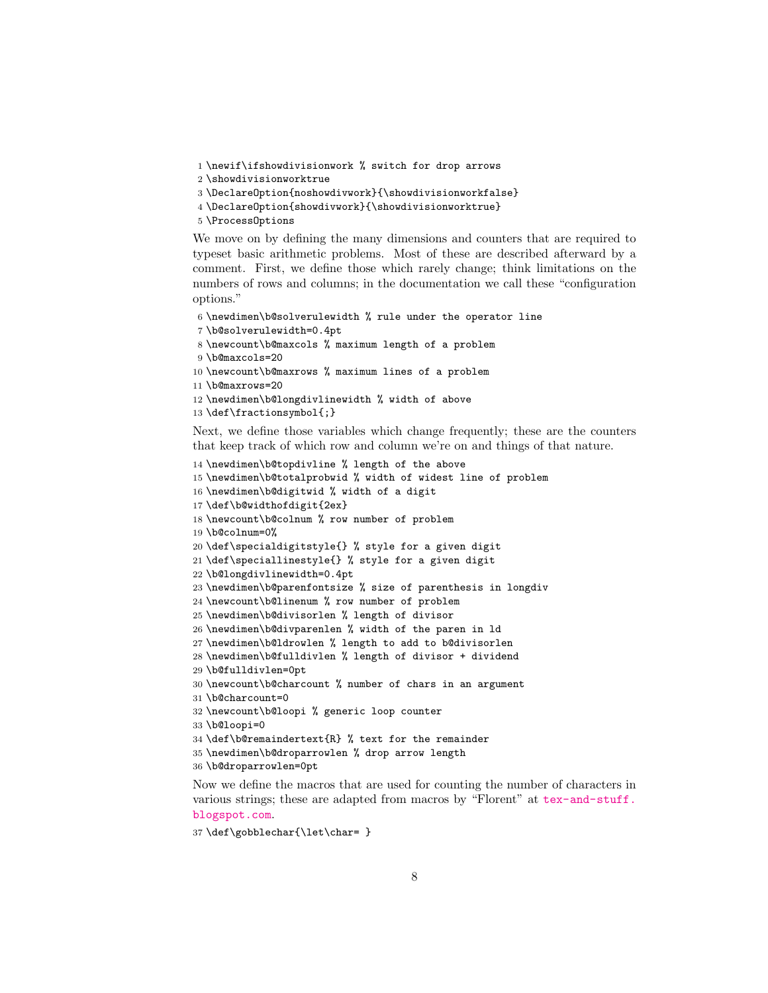<span id="page-7-0"></span>\newif\ifshowdivisionwork % switch for drop arrows

\showdivisionworktrue

\DeclareOption{noshowdivwork}{\showdivisionworkfalse}

\DeclareOption{showdivwork}{\showdivisionworktrue}

\ProcessOptions

We move on by defining the many dimensions and counters that are required to typeset basic arithmetic problems. Most of these are described afterward by a comment. First, we define those which rarely change; think limitations on the numbers of rows and columns; in the documentation we call these "configuration options."

```
6 \newdimen\b@solverulewidth % rule under the operator line
```

```
7 \b@solverulewidth=0.4pt
```

```
8 \newcount\b@maxcols % maximum length of a problem
```
\b@maxcols=20

```
10 \newcount\b@maxrows % maximum lines of a problem
```

```
11 \b@maxrows=20
```

```
12 \newdimen\b@longdivlinewidth % width of above
```

```
13 \def\fractionsymbol{;}
```
Next, we define those variables which change frequently; these are the counters that keep track of which row and column we're on and things of that nature.

```
14 \newdimen\b@topdivline % length of the above
15 \newdimen\b@totalprobwid % width of widest line of problem
16 \newdimen\b@digitwid % width of a digit
17 \def\b@widthofdigit{2ex}
18 \newcount\b@colnum % row number of problem
19 \b@colnum=0%
20 \def\specialdigitstyle{} % style for a given digit
21 \def\speciallinestyle{} % style for a given digit
22 \b@longdivlinewidth=0.4pt
23 \newdimen\b@parenfontsize % size of parenthesis in longdiv
24 \newcount\b@linenum % row number of problem
25 \newdimen\b@divisorlen % length of divisor
26 \newdimen\b@divparenlen % width of the paren in ld
27 \newdimen\b@ldrowlen % length to add to b@divisorlen
28 \newdimen\b@fulldivlen % length of divisor + dividend
29 \b@fulldivlen=0pt
30 \newcount\b@charcount % number of chars in an argument
31 \b@charcount=0
32 \newcount\b@loopi % generic loop counter
33 \b@loopi=0
34 \def\b@remaindertext{R} % text for the remainder
35 \newdimen\b@droparrowlen % drop arrow length
36 \b@droparrowlen=0pt
```
Now we define the macros that are used for counting the number of characters in various strings; these are adapted from macros by "Florent" at [tex-and-stuff.](tex-and-stuff.blogspot.com) [blogspot.com](tex-and-stuff.blogspot.com).

```
37 \def\gobblechar{\let\char= }
```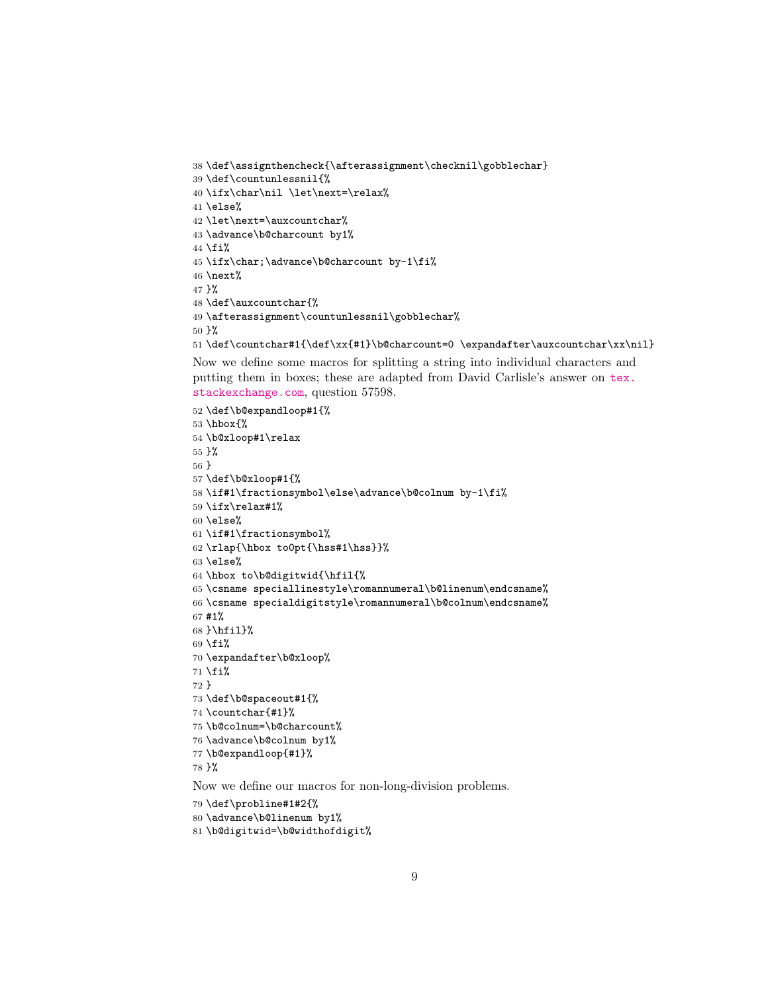```
38 \def\assignthencheck{\afterassignment\checknil\gobblechar}
39 \def\countunlessnil{%
40 \ifx\char\nil \let\next=\relax%
41 \else%
42 \let\next=\auxcountchar%
43 \advance\b@charcount by1%
44 \fi%
45 \ifx\char;\advance\b@charcount by-1\fi%
46 \text{next}47 }%
48 \def\auxcountchar{%
49 \afterassignment\countunlessnil\gobblechar%
50 }%
51 \def\countchar#1{\def\xx{#1}\b@charcount=0 \expandafter\auxcountchar\xx\nil}
```
Now we define some macros for splitting a string into individual characters and putting them in boxes; these are adapted from David Carlisle's answer on [tex.](tex.stackexchange.com) [stackexchange.com](tex.stackexchange.com), question 57598.

```
52 \def\b@expandloop#1{%
53 \hbox{%
54 \b@xloop#1\relax
55 }%
56 }
57 \def\b@xloop#1{%
58 \if#1\fractionsymbol\else\advance\b@colnum by-1\fi%
59 \ifx\relax#1%
60 \else%
61 \if#1\fractionsymbol%
62 \rlap{\hbox to0pt{\hss#1\hss}}%
63 \else%
64 \hbox to\b@digitwid{\hfil{%
65 \csname speciallinestyle\romannumeral\b@linenum\endcsname%
66 \csname specialdigitstyle\romannumeral\b@colnum\endcsname%
67 #1%
68 }\hfil}%
69 \fi%
70 \expandafter\b@xloop%
71 \fi%
72 }
73 \def\b@spaceout#1{%
74 \countchar{#1}%
75 \b@colnum=\b@charcount%
76 \advance\b@colnum by1%
77 \b@expandloop{#1}%
78 }%
Now we define our macros for non-long-division problems.
```

```
79 \def\probline#1#2{%
```

```
80 \advance\b@linenum by1%
```

```
81 \b@digitwid=\b@widthofdigit%
```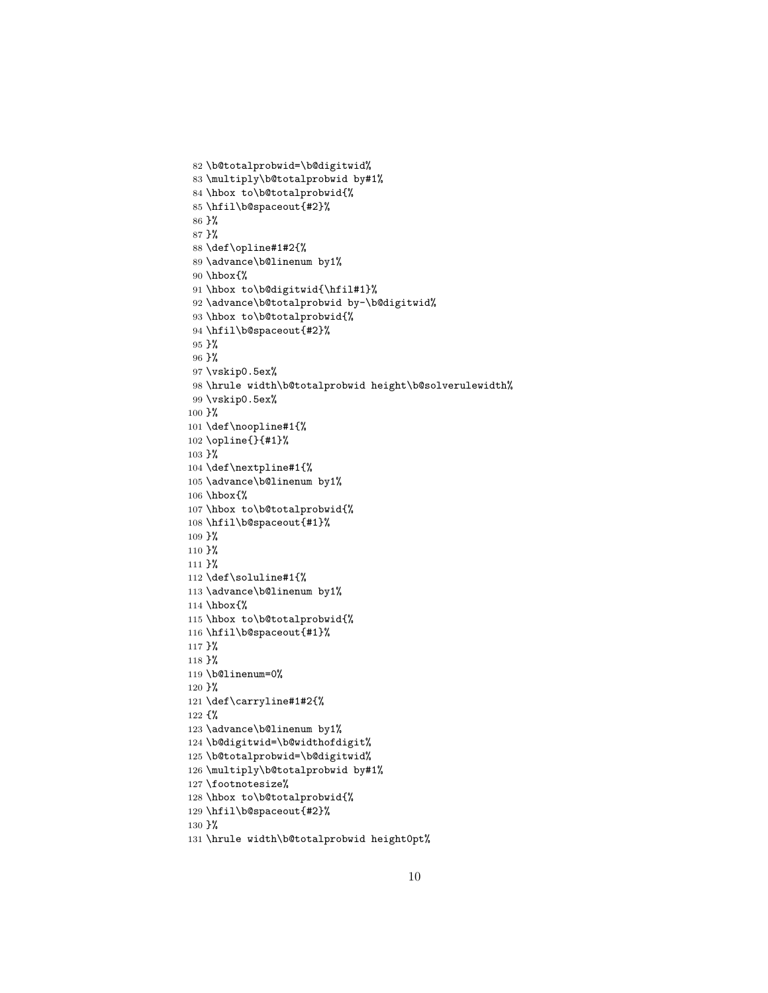```
82 \b@totalprobwid=\b@digitwid%
 83 \multiply\b@totalprobwid by#1%
 84 \hbox to\b@totalprobwid{%
85 \hfil\b@spaceout{#2}%
86 }%
87 }%
 88 \def\opline#1#2{%
89 \advance\b@linenum by1%
90 \hbox{%
91 \hbox to\b@digitwid{\hfil#1}%
92 \advance\b@totalprobwid by-\b@digitwid%
93 \hbox to\b@totalprobwid{%
 94 \hfil\b@spaceout{#2}%
95 }%
96 }%
97 \vskip0.5ex%
98 \hrule width\b@totalprobwid height\b@solverulewidth%
99 \vskip0.5ex%
100 }%
101 \def\noopline#1{%
102 \opline{}{#1}%
103 }%
104 \def\nextpline#1{%
105 \advance\b@linenum by1%
106 \hbox{%
107 \hbox to\b@totalprobwid{%
108 \hfil\b@spaceout{#1}%
109 }%
110 }%
111 }%
112 \def\soluline#1{%
113 \advance\b@linenum by1%
114 \hbox{%
115 \hbox to\b@totalprobwid{%
116 \hfil\b@spaceout{#1}%
117 }%
118 }%
119 \b@linenum=0%
120 }%
121 \def\carryline#1#2{%
122 {%
123 \advance\b@linenum by1%
124 \b@digitwid=\b@widthofdigit%
125 \b@totalprobwid=\b@digitwid%
126 \multiply\b@totalprobwid by#1%
127 \footnotesize%
128 \hbox to\b@totalprobwid{%
129 \hfil\b@spaceout{#2}%
130 }%
131 \hrule width\b@totalprobwid height0pt%
```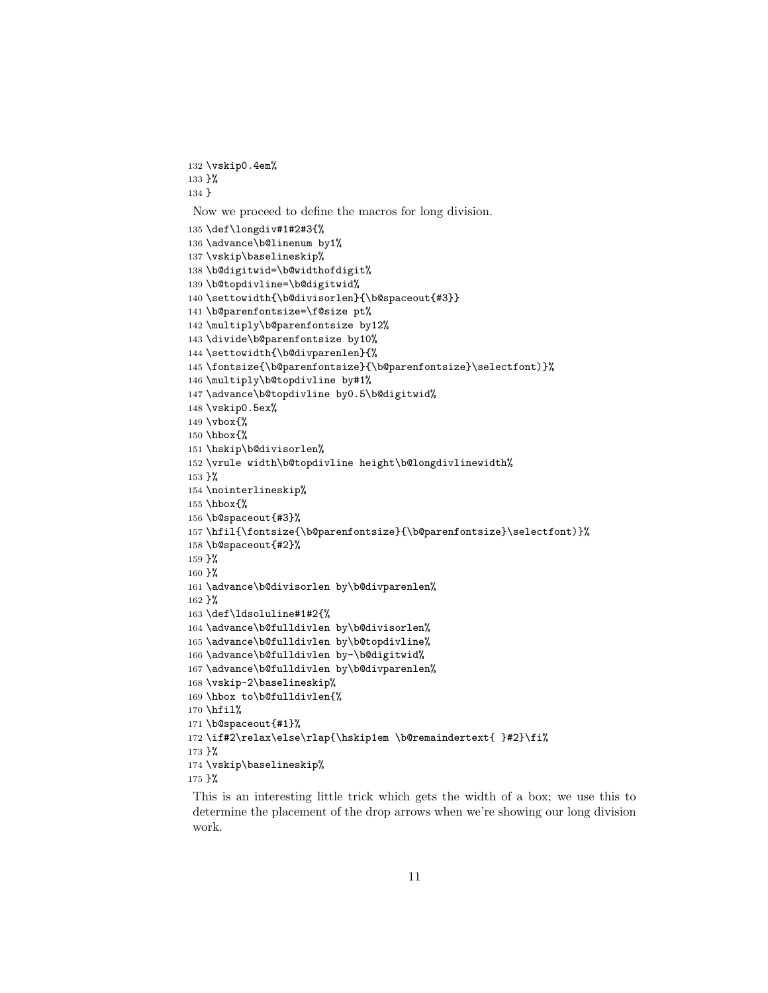```
132 \vskip0.4em%
133 }%
134 }
Now we proceed to define the macros for long division.
135 \def\longdiv#1#2#3{%
136 \advance\b@linenum by1%
137 \vskip\baselineskip%
138 \b@digitwid=\b@widthofdigit%
139 \b@topdivline=\b@digitwid%
140 \settowidth{\b@divisorlen}{\b@spaceout{#3}}
141 \b@parenfontsize=\f@size pt%
142 \multiply\b@parenfontsize by12%
143 \divide\b@parenfontsize by10%
144 \settowidth{\b@divparenlen}{%
145 \fontsize{\b@parenfontsize}{\b@parenfontsize}\selectfont)}%
146 \multiply\b@topdivline by#1%
147 \advance\b@topdivline by0.5\b@digitwid%
148 \vskip0.5ex%
149 \vbox{%
150 \hbox{%
151 \hskip\b@divisorlen%
152 \vrule width\b@topdivline height\b@longdivlinewidth%
153 }%
154 \nointerlineskip%
155 \hbox{%
156 \b@spaceout{#3}%
157 \hfil{\fontsize{\b@parenfontsize}{\b@parenfontsize}\selectfont)}%
158 \b@spaceout{#2}%
159 }%
160 }%
161 \advance\b@divisorlen by\b@divparenlen%
162 }%
163 \def\ldsoluline#1#2{%
164 \advance\b@fulldivlen by\b@divisorlen%
165 \advance\b@fulldivlen by\b@topdivline%
166 \advance\b@fulldivlen by-\b@digitwid%
167 \advance\b@fulldivlen by\b@divparenlen%
168 \vskip-2\baselineskip%
169 \hbox to\b@fulldivlen{%
170 \hfil%
171 \b@spaceout{#1}%
172\if#2\relax\else\rlap{\hskip1em \b@remaindertext{ }#2}\fi%
173 }%
174 \vskip\baselineskip%
175 }%
```
This is an interesting little trick which gets the width of a box; we use this to determine the placement of the drop arrows when we're showing our long division work.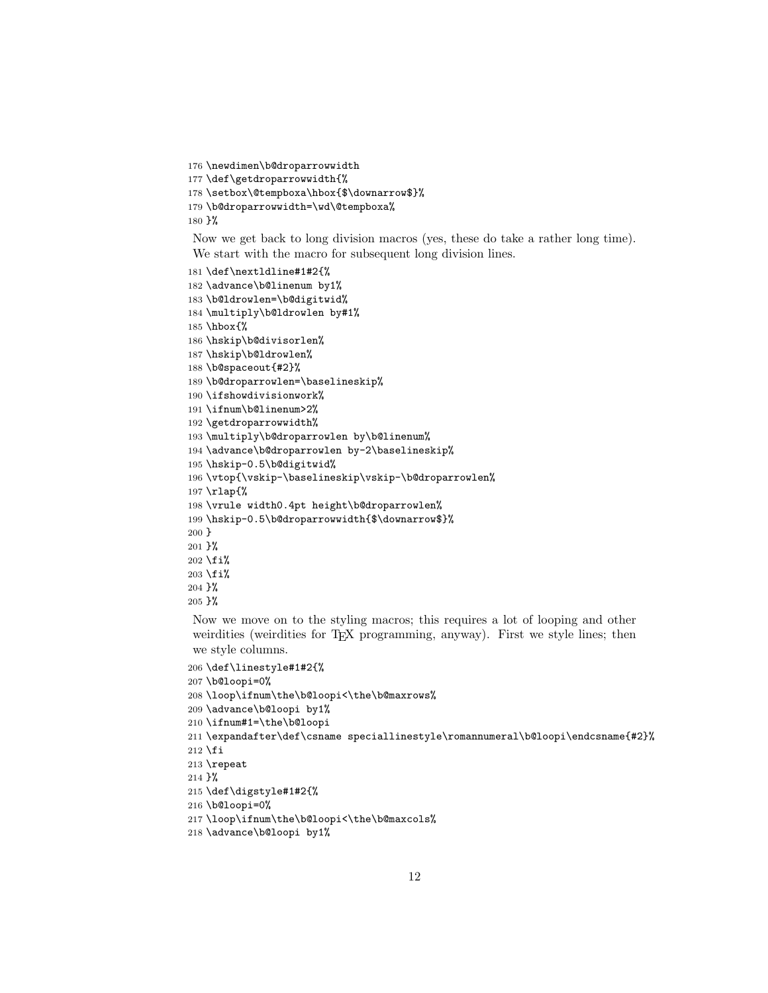```
176 \newdimen\b@droparrowwidth
177 \def\getdroparrowwidth{%
178 \setbox\@tempboxa\hbox{$\downarrow$}%
179 \b@droparrowwidth=\wd\@tempboxa%
180 }%
```
Now we get back to long division macros (yes, these do take a rather long time). We start with the macro for subsequent long division lines.

```
181 \def\nextldline#1#2{%
182 \advance\b@linenum by1%
183 \b@ldrowlen=\b@digitwid%
184 \multiply\b@ldrowlen by#1%
185 \hbox{%
186 \hskip\b@divisorlen%
187 \hskip\b@ldrowlen%
188 \b@spaceout{#2}%
189 \b@droparrowlen=\baselineskip%
190 \ifshowdivisionwork%
191 \ifnum\b@linenum>2%
192 \getdroparrowwidth%
193 \multiply\b@droparrowlen by\b@linenum%
194 \advance\b@droparrowlen by-2\baselineskip%
195 \hskip-0.5\b@digitwid%
196 \vtop{\vskip-\baselineskip\vskip-\b@droparrowlen%
197 \rlap{%
198 \vrule width0.4pt height\b@droparrowlen%
199 \hskip-0.5\b@droparrowwidth{$\downarrow$}%
200 }
201 }%
202 \fi%
203 \fi%
204 }%
205 }%
```
Now we move on to the styling macros; this requires a lot of looping and other weirdities (weirdities for T<sub>E</sub>X programming, anyway). First we style lines; then we style columns.

```
206 \def\linestyle#1#2{%
207 \b@loopi=0%
208 \loop\ifnum\the\b@loopi<\the\b@maxrows%
209 \advance\b@loopi by1%
210 \ifnum#1=\the\b@loopi
211 \expandafter\def\csname speciallinestyle\romannumeral\b@loopi\endcsname{#2}%
212 \fi213 \repeat
214 }%
215 \def\digstyle#1#2{%
216 \b@loopi=0%
217 \loop\ifnum\the\b@loopi<\the\b@maxcols%
218 \advance\b@loopi by1%
```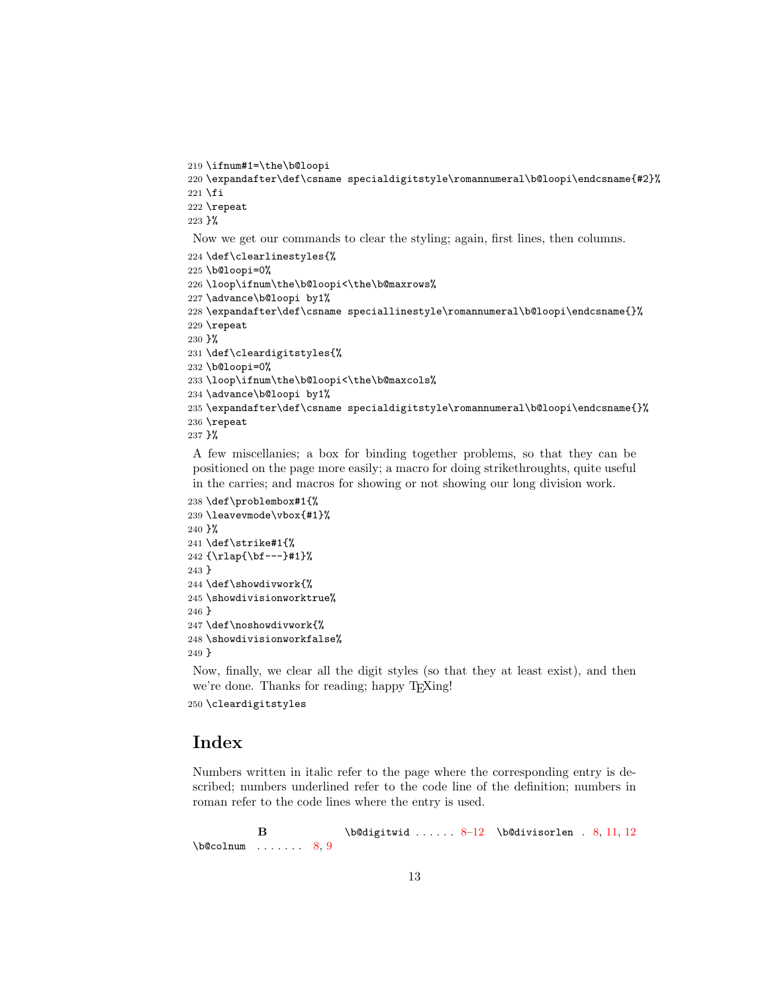```
219 \ifnum#1=\the\b@loopi
220 \expandafter\def\csname specialdigitstyle\romannumeral\b@loopi\endcsname{#2}%
221 \fi
222 \repeat
223 }%
Now we get our commands to clear the styling; again, first lines, then columns.
224 \def\clearlinestyles{%
225 \b@loopi=0%
226 \loop\ifnum\the\b@loopi<\the\b@maxrows%
227 \advance\b@loopi by1%
228 \expandafter\def\csname speciallinestyle\romannumeral\b@loopi\endcsname{}%
229 \repeat
230 }%
231 \def\cleardigitstyles{%
232 \b@loopi=0%
233 \loop\ifnum\the\b@loopi<\the\b@maxcols%
234 \advance\b@loopi by1%
235 \expandafter\def\csname specialdigitstyle\romannumeral\b@loopi\endcsname{}%
236 \repeat
237 }%
```
A few miscellanies; a box for binding together problems, so that they can be positioned on the page more easily; a macro for doing strikethroughts, quite useful in the carries; and macros for showing or not showing our long division work.

```
238 \def\problembox#1{%
239 \leavevmode\vbox{#1}%
240 }%
241 \def\strike#1{%
242 {\rlap{\bf---}#1}%
243 }
244 \def\showdivwork{%
245 \showdivisionworktrue%
246 }
247 \def\noshowdivwork{%
248 \showdivisionworkfalse%
249 }
```
Now, finally, we clear all the digit styles (so that they at least exist), and then we're done. Thanks for reading; happy T<sub>E</sub>Xing!

\cleardigitstyles

# Index

Numbers written in italic refer to the page where the corresponding entry is described; numbers underlined refer to the code line of the definition; numbers in roman refer to the code lines where the entry is used.

B  $\begin{min}$  ....... [8,](#page-7-0) [9](#page-8-0) \b@digitwid ......  $8-12$  $8-12$  \b@divisorlen . [8,](#page-7-0) [11,](#page-10-0) 12